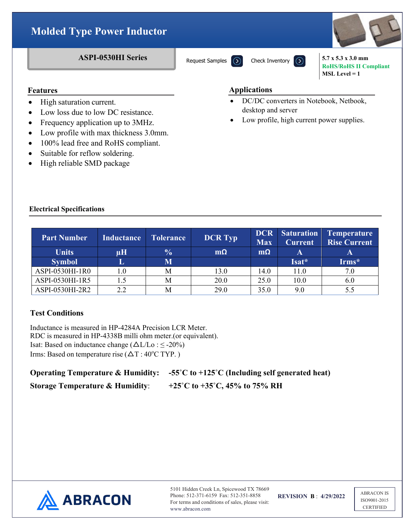

# **Features**

- High saturation current.
- Low loss due to low DC resistance.
- Frequency application up to 3MHz.
- Low profile with max thickness 3.0mm.
- 100% lead free and RoHS compliant.
- Suitable for reflow soldering.
- High reliable SMD package

### **Applications**

- DC/DC converters in Notebook, Netbook, desktop and server
- Low profile, high current power supplies.

## **Electrical Specifications**

| <b>Part Number</b> | <b>Inductance</b> | <b>Tolerance</b>        | <b>DCR Typ</b> | DCR  <br><b>Max</b> | <b>Saturation</b><br><b>Current</b> | Temperature<br><b>Rise Current</b> |
|--------------------|-------------------|-------------------------|----------------|---------------------|-------------------------------------|------------------------------------|
| <b>Units</b>       | μH                | $\frac{0}{0}$           | $m\Omega$      | $m\Omega$           | A                                   | A                                  |
| <b>Symbol</b>      | ш                 | $\overline{\textbf{M}}$ |                |                     | Isat*                               | Irms*                              |
| ASPI-0530HI-1R0    | $1.0\,$           | M                       | 13.0           | 14.0                | 11.0                                | 7.0                                |
| ASPI-0530HI-1R5    |                   | M                       | 20.0           | 25.0                | 10.0                                | 6.0                                |
| ASPI-0530HI-2R2    | 22                | M                       | 29.0           | 35.0                | 9.0                                 | 5.5                                |

# **Test Conditions**

Inductance is measured in HP-4284A Precision LCR Meter. RDC is measured in HP-4338B milli ohm meter.(or equivalent). Isat: Based on inductance change  $(\Delta L/Lo : \leq -20\%)$ Irms: Based on temperature rise  $(\Delta T : 40^{\circ}C$  TYP.)

# **Operating Temperature & Humidity: -55˚C to +125˚C (Including self generated heat) Storage Temperature & Humidity**: **+25˚C to +35˚C, 45% to 75% RH**



5101 Hidden Creek Ln, Spicewood TX 78669 Phone: 512-371-6159 Fax: 512-351-8858 For terms and conditions of sales, please visit: www.abracon.com

**REVISION B** : **4/29/2022**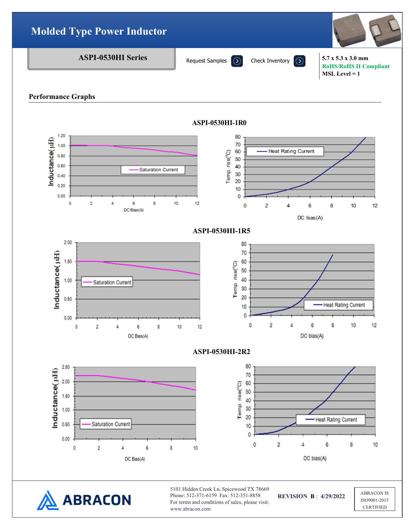

#### **Performance Graphs**



**ABRACON** 

5101 Hidden Creek Ln, Spicewood TX 78669 Phone: 512-371-6159 Fax: 512-351-8858 For terms and conditions of sales, please visit: www.abracon.com

**REVISION B** : **4/29/2022**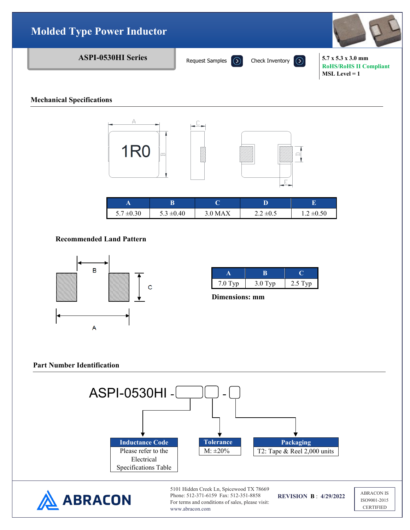

### **Mechanical Specifications**



| . .                      | ט              |         |               |                |
|--------------------------|----------------|---------|---------------|----------------|
| $^{\prime}$ ±0.30<br>5.7 | $5.3 \pm 0.40$ | 3.0 MAX | $2.2 \pm 0.5$ | $1.2 \pm 0.50$ |

### **Recommended Land Pattern**



| $7.0$ Typ | $3.0$ Typ | $2.5$ Typ |
|-----------|-----------|-----------|

 **Dimensions: mm**

### **Part Number Identification**



www.abracon.com

ISO9001-2015 **CERTIFIED**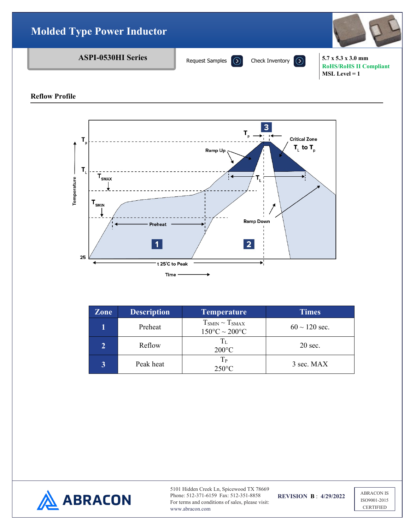

**Reflow Profile**



| <b>Zone</b> | <b>Description</b> | <b>Temperature</b>                                  | <b>Times</b>       |
|-------------|--------------------|-----------------------------------------------------|--------------------|
|             | Preheat            | $T_{SMIN} \sim T_{SMAX}$<br>$150^{\circ}$ C ~ 200°C | $60 \sim 120$ sec. |
|             | Reflow             | $T_{L}$<br>$200^{\circ}$ C                          | $20 \text{ sec.}$  |
|             | Peak heat          | $T_{P}$<br>$250^{\circ}$ C                          | 3 sec. MAX         |



5101 Hidden Creek Ln, Spicewood TX 78669 Phone: 512-371-6159 Fax: 512-351-8858 For terms and conditions of sales, please visit: www.abracon.com

**REVISION B** : **4/29/2022**